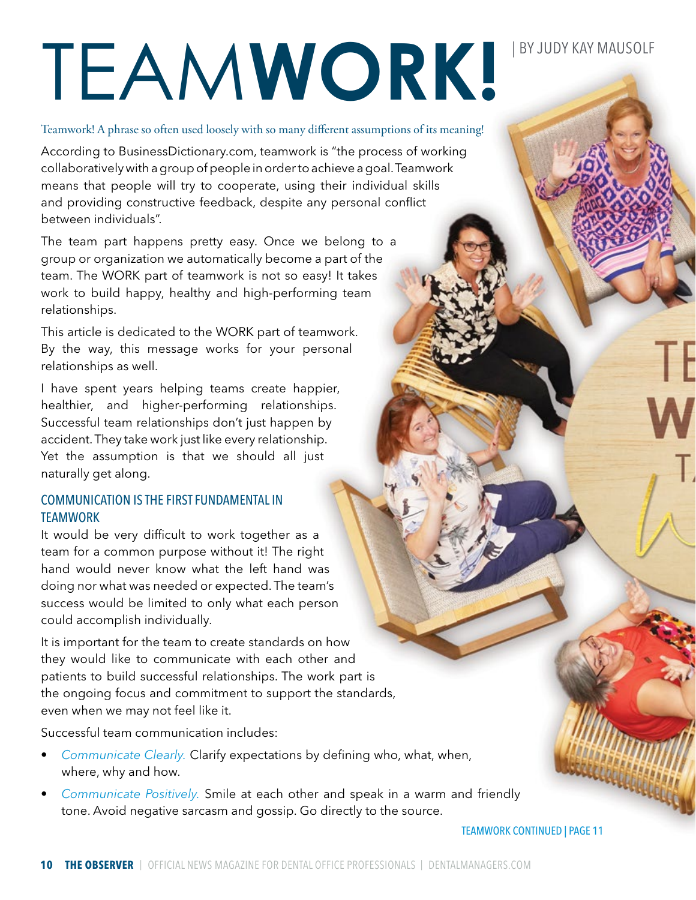# TEAMWORK!<sup>BYJUDY KAY MAUSOLF</sup>

Teamwork! A phrase so often used loosely with so many different assumptions of its meaning!

According to BusinessDictionary.com, teamwork is "the process of working collaboratively with a group of people in order to achieve a goal. Teamwork means that people will try to cooperate, using their individual skills and providing constructive feedback, despite any personal conflict between individuals".

The team part happens pretty easy. Once we belong to a group or organization we automatically become a part of the team. The WORK part of teamwork is not so easy! It takes work to build happy, healthy and high-performing team relationships.

This article is dedicated to the WORK part of teamwork. By the way, this message works for your personal relationships as well.

I have spent years helping teams create happier, healthier, and higher-performing relationships. Successful team relationships don't just happen by accident. They take work just like every relationship. Yet the assumption is that we should all just naturally get along.

## COMMUNICATION IS THE FIRST FUNDAMENTAL IN TEAMWORK

It would be very difficult to work together as a team for a common purpose without it! The right hand would never know what the left hand was doing nor what was needed or expected. The team's success would be limited to only what each person could accomplish individually.

It is important for the team to create standards on how they would like to communicate with each other and patients to build successful relationships. The work part is the ongoing focus and commitment to support the standards, even when we may not feel like it.

Successful team communication includes:

- *Communicate Clearly.* Clarify expectations by defining who, what, when, where, why and how.
- *Communicate Positively.* Smile at each other and speak in a warm and friendly tone. Avoid negative sarcasm and gossip. Go directly to the source.

TEAMWORK CONTINUED | PAGE 11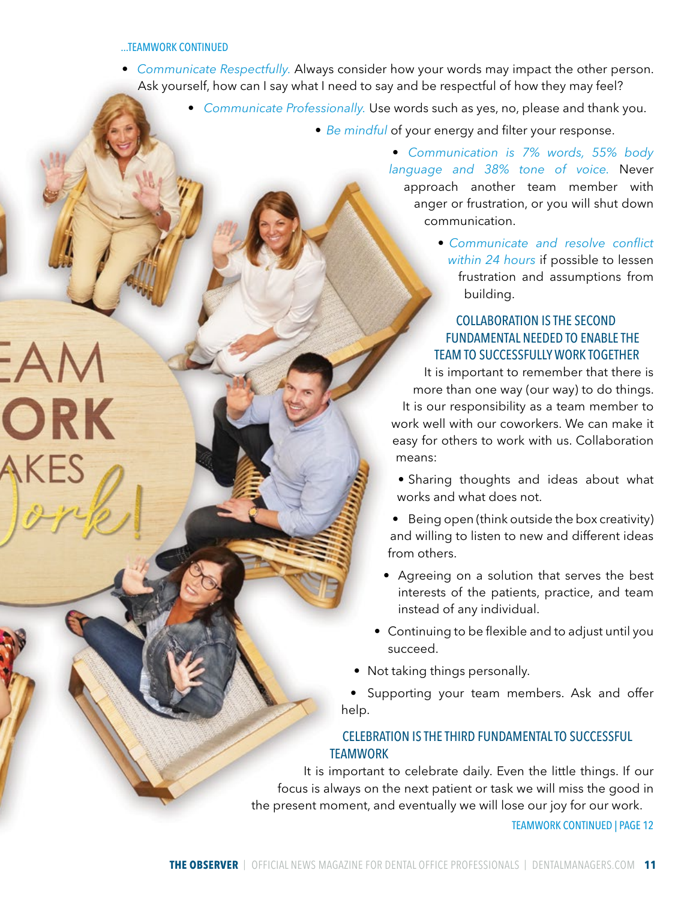#### ...TEAMWORK CONTINUED

 $-A$ 

**ORK** 

- *Communicate Respectfully.* Always consider how your words may impact the other person. Ask yourself, how can I say what I need to say and be respectful of how they may feel?
	- *Communicate Professionally.* Use words such as yes, no, please and thank you.
		- *Be mindful* of your energy and filter your response.

• *Communication is 7% words, 55% body language and 38% tone of voice.* Never approach another team member with anger or frustration, or you will shut down communication.

> • *Communicate and resolve conflict within 24 hours* if possible to lessen frustration and assumptions from building.

# COLLABORATION IS THE SECOND FUNDAMENTAL NEEDED TO ENABLE THE TEAM TO SUCCESSFULLY WORK TOGETHER

It is important to remember that there is more than one way (our way) to do things. It is our responsibility as a team member to work well with our coworkers. We can make it easy for others to work with us. Collaboration means:

- Sharing thoughts and ideas about what works and what does not.
- Being open (think outside the box creativity) and willing to listen to new and different ideas from others.
- Agreeing on a solution that serves the best interests of the patients, practice, and team instead of any individual.
- Continuing to be flexible and to adjust until you succeed.
- Not taking things personally.

• Supporting your team members. Ask and offer help.

### CELEBRATION IS THE THIRD FUNDAMENTAL TO SUCCESSFUL **TEAMWORK**

It is important to celebrate daily. Even the little things. If our focus is always on the next patient or task we will miss the good in the present moment, and eventually we will lose our joy for our work.

TEAMWORK CONTINUED | PAGE 12